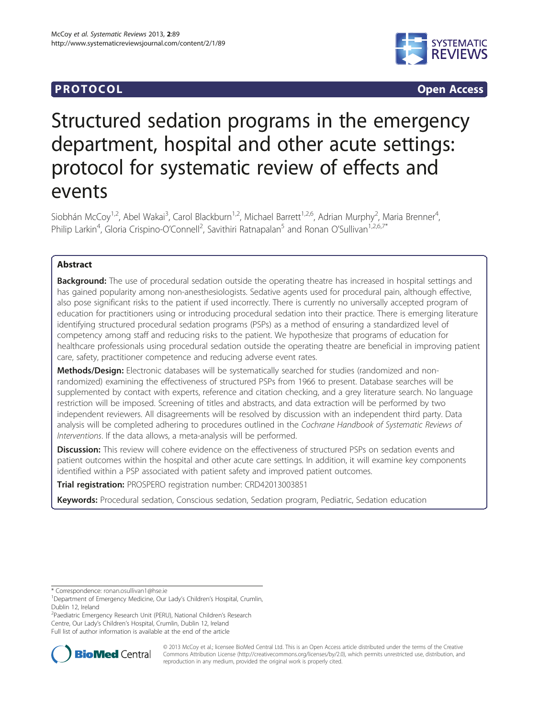## **PROTOCOL CONSUMING ACCESS CONSUMING ACCESS**



# Structured sedation programs in the emergency department, hospital and other acute settings: protocol for systematic review of effects and events

Siobhán McCoy<sup>1,2</sup>, Abel Wakai<sup>3</sup>, Carol Blackburn<sup>1,2</sup>, Michael Barrett<sup>1,2,6</sup>, Adrian Murphy<sup>2</sup>, Maria Brenner<sup>4</sup> , Philip Larkin<sup>4</sup>, Gloria Crispino-O'Connell<sup>2</sup>, Savithiri Ratnapalan<sup>5</sup> and Ronan O'Sullivan<sup>1,2,6,7\*</sup>

## Abstract

Background: The use of procedural sedation outside the operating theatre has increased in hospital settings and has gained popularity among non-anesthesiologists. Sedative agents used for procedural pain, although effective, also pose significant risks to the patient if used incorrectly. There is currently no universally accepted program of education for practitioners using or introducing procedural sedation into their practice. There is emerging literature identifying structured procedural sedation programs (PSPs) as a method of ensuring a standardized level of competency among staff and reducing risks to the patient. We hypothesize that programs of education for healthcare professionals using procedural sedation outside the operating theatre are beneficial in improving patient care, safety, practitioner competence and reducing adverse event rates.

Methods/Design: Electronic databases will be systematically searched for studies (randomized and nonrandomized) examining the effectiveness of structured PSPs from 1966 to present. Database searches will be supplemented by contact with experts, reference and citation checking, and a grey literature search. No language restriction will be imposed. Screening of titles and abstracts, and data extraction will be performed by two independent reviewers. All disagreements will be resolved by discussion with an independent third party. Data analysis will be completed adhering to procedures outlined in the Cochrane Handbook of Systematic Reviews of Interventions. If the data allows, a meta-analysis will be performed.

Discussion: This review will cohere evidence on the effectiveness of structured PSPs on sedation events and patient outcomes within the hospital and other acute care settings. In addition, it will examine key components identified within a PSP associated with patient safety and improved patient outcomes.

Trial registration: PROSPERO registration number: [CRD42013003851](http://www.crd.york.ac.uk/NIHR_PROSPERO/display_record.asp?ID=CRD42013003851#.UkCk-YZJ6s0)

Keywords: Procedural sedation, Conscious sedation, Sedation program, Pediatric, Sedation education

<sup>2</sup>Paediatric Emergency Research Unit (PERU), National Children's Research Centre, Our Lady's Children's Hospital, Crumlin, Dublin 12, Ireland Full list of author information is available at the end of the article



© 2013 McCoy et al.; licensee BioMed Central Ltd. This is an Open Access article distributed under the terms of the Creative Commons Attribution License [\(http://creativecommons.org/licenses/by/2.0\)](http://creativecommons.org/licenses/by/2.0), which permits unrestricted use, distribution, and reproduction in any medium, provided the original work is properly cited.

<sup>\*</sup> Correspondence: [ronan.osullivan1@hse.ie](mailto:ronan.osullivan1@hse.ie) <sup>1</sup>

<sup>&</sup>lt;sup>1</sup>Department of Emergency Medicine, Our Lady's Children's Hospital, Crumlin, Dublin 12, Ireland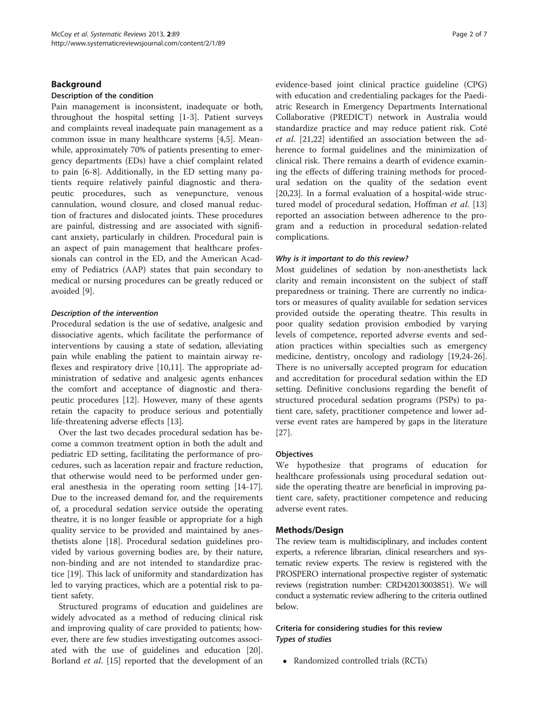#### Background

#### Description of the condition

Pain management is inconsistent, inadequate or both, throughout the hospital setting [\[1](#page-6-0)-[3\]](#page-6-0). Patient surveys and complaints reveal inadequate pain management as a common issue in many healthcare systems [[4,5\]](#page-6-0). Meanwhile, approximately 70% of patients presenting to emergency departments (EDs) have a chief complaint related to pain [\[6-8](#page-6-0)]. Additionally, in the ED setting many patients require relatively painful diagnostic and therapeutic procedures, such as venepuncture, venous cannulation, wound closure, and closed manual reduction of fractures and dislocated joints. These procedures are painful, distressing and are associated with significant anxiety, particularly in children. Procedural pain is an aspect of pain management that healthcare professionals can control in the ED, and the American Academy of Pediatrics (AAP) states that pain secondary to medical or nursing procedures can be greatly reduced or avoided [\[9](#page-6-0)].

#### Description of the intervention

Procedural sedation is the use of sedative, analgesic and dissociative agents, which facilitate the performance of interventions by causing a state of sedation, alleviating pain while enabling the patient to maintain airway reflexes and respiratory drive [\[10,11](#page-6-0)]. The appropriate administration of sedative and analgesic agents enhances the comfort and acceptance of diagnostic and therapeutic procedures [[12](#page-6-0)]. However, many of these agents retain the capacity to produce serious and potentially life-threatening adverse effects [[13\]](#page-6-0).

Over the last two decades procedural sedation has become a common treatment option in both the adult and pediatric ED setting, facilitating the performance of procedures, such as laceration repair and fracture reduction, that otherwise would need to be performed under general anesthesia in the operating room setting [\[14-17](#page-6-0)]. Due to the increased demand for, and the requirements of, a procedural sedation service outside the operating theatre, it is no longer feasible or appropriate for a high quality service to be provided and maintained by anesthetists alone [\[18](#page-6-0)]. Procedural sedation guidelines provided by various governing bodies are, by their nature, non-binding and are not intended to standardize practice [\[19](#page-6-0)]. This lack of uniformity and standardization has led to varying practices, which are a potential risk to patient safety.

Structured programs of education and guidelines are widely advocated as a method of reducing clinical risk and improving quality of care provided to patients; however, there are few studies investigating outcomes associated with the use of guidelines and education [\[20](#page-6-0)]. Borland et al. [[15\]](#page-6-0) reported that the development of an evidence-based joint clinical practice guideline (CPG) with education and credentialing packages for the Paediatric Research in Emergency Departments International Collaborative (PREDICT) network in Australia would standardize practice and may reduce patient risk. Coté et al. [\[21,22](#page-6-0)] identified an association between the adherence to formal guidelines and the minimization of clinical risk. There remains a dearth of evidence examining the effects of differing training methods for procedural sedation on the quality of the sedation event [[20,23\]](#page-6-0). In a formal evaluation of a hospital-wide struc-tured model of procedural sedation, Hoffman et al. [[13](#page-6-0)] reported an association between adherence to the program and a reduction in procedural sedation-related complications.

#### Why is it important to do this review?

Most guidelines of sedation by non-anesthetists lack clarity and remain inconsistent on the subject of staff preparedness or training. There are currently no indicators or measures of quality available for sedation services provided outside the operating theatre. This results in poor quality sedation provision embodied by varying levels of competence, reported adverse events and sedation practices within specialties such as emergency medicine, dentistry, oncology and radiology [\[19,24-26](#page-6-0)]. There is no universally accepted program for education and accreditation for procedural sedation within the ED setting. Definitive conclusions regarding the benefit of structured procedural sedation programs (PSPs) to patient care, safety, practitioner competence and lower adverse event rates are hampered by gaps in the literature [[27\]](#page-6-0).

#### **Objectives**

We hypothesize that programs of education for healthcare professionals using procedural sedation outside the operating theatre are beneficial in improving patient care, safety, practitioner competence and reducing adverse event rates.

## Methods/Design

The review team is multidisciplinary, and includes content experts, a reference librarian, clinical researchers and systematic review experts. The review is registered with the PROSPERO international prospective register of systematic reviews (registration number: CRD42013003851). We will conduct a systematic review adhering to the criteria outlined below.

## Criteria for considering studies for this review Types of studies

• Randomized controlled trials (RCTs)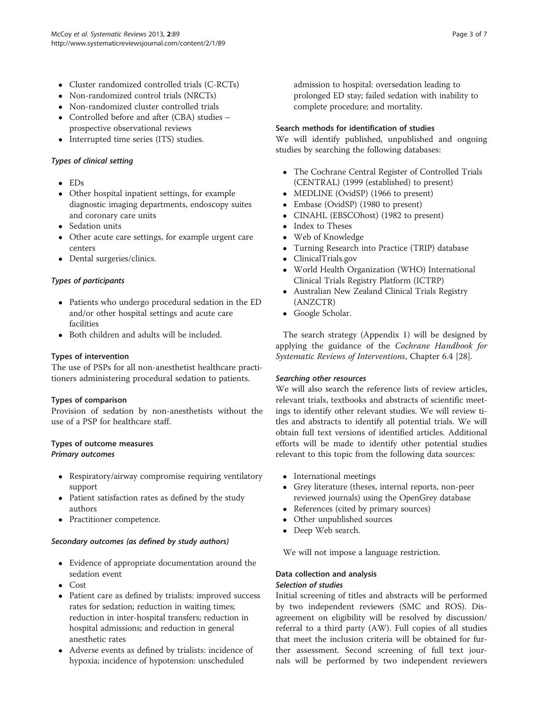- Cluster randomized controlled trials (C-RCTs)
- Non-randomized control trials (NRCTs)
- Non-randomized cluster controlled trials
- Controlled before and after (CBA) studies prospective observational reviews
- Interrupted time series (ITS) studies.

## Types of clinical setting

- EDs
- Other hospital inpatient settings, for example diagnostic imaging departments, endoscopy suites and coronary care units
- Sedation units
- Other acute care settings, for example urgent care centers
- Dental surgeries/clinics.

## Types of participants

- Patients who undergo procedural sedation in the ED and/or other hospital settings and acute care facilities
- Both children and adults will be included.

## Types of intervention

The use of PSPs for all non-anesthetist healthcare practitioners administering procedural sedation to patients.

## Types of comparison

Provision of sedation by non-anesthetists without the use of a PSP for healthcare staff.

## Types of outcome measures Primary outcomes

- Respiratory/airway compromise requiring ventilatory support
- Patient satisfaction rates as defined by the study authors
- Practitioner competence.

## Secondary outcomes (as defined by study authors)

- Evidence of appropriate documentation around the sedation event
- Cost
- Patient care as defined by trialists: improved success rates for sedation; reduction in waiting times; reduction in inter-hospital transfers; reduction in hospital admissions; and reduction in general anesthetic rates
- Adverse events as defined by trialists: incidence of hypoxia; incidence of hypotension: unscheduled

admission to hospital: oversedation leading to prolonged ED stay; failed sedation with inability to complete procedure; and mortality.

## Search methods for identification of studies

We will identify published, unpublished and ongoing studies by searching the following databases:

- The Cochrane Central Register of Controlled Trials (CENTRAL) (1999 (established) to present)
- MEDLINE (OvidSP) (1966 to present)
- Embase (OvidSP) (1980 to present)
- CINAHL (EBSCOhost) (1982 to present)
- Index to Theses
- Web of Knowledge
- Turning Research into Practice (TRIP) database
- ClinicalTrials.gov
- World Health Organization (WHO) International Clinical Trials Registry Platform (ICTRP)
- Australian New Zealand Clinical Trials Registry (ANZCTR)
- Google Scholar.

The search strategy ([Appendix 1](#page-5-0)) will be designed by applying the guidance of the Cochrane Handbook for Systematic Reviews of Interventions, Chapter 6.4 [[28\]](#page-6-0).

## Searching other resources

We will also search the reference lists of review articles, relevant trials, textbooks and abstracts of scientific meetings to identify other relevant studies. We will review titles and abstracts to identify all potential trials. We will obtain full text versions of identified articles. Additional efforts will be made to identify other potential studies relevant to this topic from the following data sources:

- International meetings
- Grey literature (theses, internal reports, non-peer reviewed journals) using the OpenGrey database
- References (cited by primary sources)
- Other unpublished sources
- Deep Web search.

We will not impose a language restriction.

## Data collection and analysis

## Selection of studies

Initial screening of titles and abstracts will be performed by two independent reviewers (SMC and ROS). Disagreement on eligibility will be resolved by discussion/ referral to a third party (AW). Full copies of all studies that meet the inclusion criteria will be obtained for further assessment. Second screening of full text journals will be performed by two independent reviewers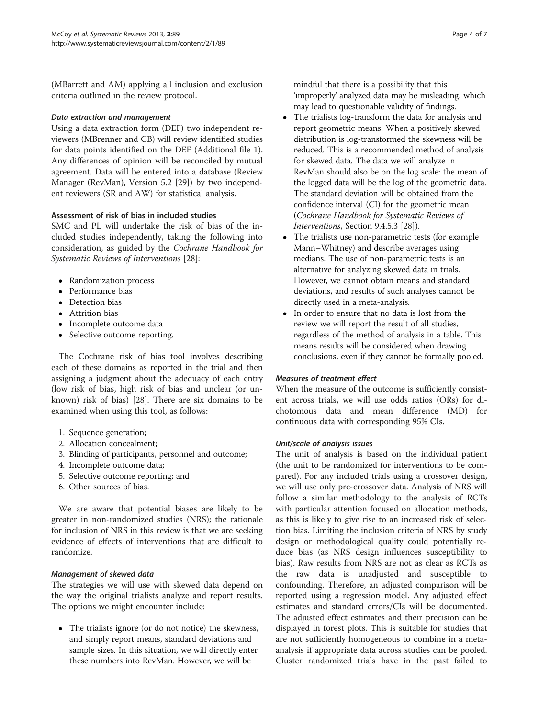(MBarrett and AM) applying all inclusion and exclusion criteria outlined in the review protocol.

#### Data extraction and management

Using a data extraction form (DEF) two independent reviewers (MBrenner and CB) will review identified studies for data points identified on the DEF (Additional file [1](#page-5-0)). Any differences of opinion will be reconciled by mutual agreement. Data will be entered into a database (Review Manager (RevMan), Version 5.2 [[29\]](#page-6-0)) by two independent reviewers (SR and AW) for statistical analysis.

## Assessment of risk of bias in included studies

SMC and PL will undertake the risk of bias of the included studies independently, taking the following into consideration, as guided by the Cochrane Handbook for Systematic Reviews of Interventions [[28\]](#page-6-0):

- Randomization process
- Performance bias
- Detection bias
- Attrition bias
- Incomplete outcome data
- Selective outcome reporting.

The Cochrane risk of bias tool involves describing each of these domains as reported in the trial and then assigning a judgment about the adequacy of each entry (low risk of bias, high risk of bias and unclear (or unknown) risk of bias) [[28\]](#page-6-0). There are six domains to be examined when using this tool, as follows:

- 1. Sequence generation;
- 2. Allocation concealment;
- 3. Blinding of participants, personnel and outcome;
- 4. Incomplete outcome data;
- 5. Selective outcome reporting; and
- 6. Other sources of bias.

We are aware that potential biases are likely to be greater in non-randomized studies (NRS); the rationale for inclusion of NRS in this review is that we are seeking evidence of effects of interventions that are difficult to randomize.

## Management of skewed data

The strategies we will use with skewed data depend on the way the original trialists analyze and report results. The options we might encounter include:

• The trialists ignore (or do not notice) the skewness, and simply report means, standard deviations and sample sizes. In this situation, we will directly enter these numbers into RevMan. However, we will be

mindful that there is a possibility that this 'improperly' analyzed data may be misleading, which may lead to questionable validity of findings.

- The trialists log-transform the data for analysis and report geometric means. When a positively skewed distribution is log-transformed the skewness will be reduced. This is a recommended method of analysis for skewed data. The data we will analyze in RevMan should also be on the log scale: the mean of the logged data will be the log of the geometric data. The standard deviation will be obtained from the confidence interval (CI) for the geometric mean (Cochrane Handbook for Systematic Reviews of Interventions, Section 9.4.5.3 [[28\]](#page-6-0)).
- The trialists use non-parametric tests (for example Mann–Whitney) and describe averages using medians. The use of non-parametric tests is an alternative for analyzing skewed data in trials. However, we cannot obtain means and standard deviations, and results of such analyses cannot be directly used in a meta-analysis.
- In order to ensure that no data is lost from the review we will report the result of all studies, regardless of the method of analysis in a table. This means results will be considered when drawing conclusions, even if they cannot be formally pooled.

## Measures of treatment effect

When the measure of the outcome is sufficiently consistent across trials, we will use odds ratios (ORs) for dichotomous data and mean difference (MD) for continuous data with corresponding 95% CIs.

## Unit/scale of analysis issues

The unit of analysis is based on the individual patient (the unit to be randomized for interventions to be compared). For any included trials using a crossover design, we will use only pre-crossover data. Analysis of NRS will follow a similar methodology to the analysis of RCTs with particular attention focused on allocation methods, as this is likely to give rise to an increased risk of selection bias. Limiting the inclusion criteria of NRS by study design or methodological quality could potentially reduce bias (as NRS design influences susceptibility to bias). Raw results from NRS are not as clear as RCTs as the raw data is unadjusted and susceptible to confounding. Therefore, an adjusted comparison will be reported using a regression model. Any adjusted effect estimates and standard errors/CIs will be documented. The adjusted effect estimates and their precision can be displayed in forest plots. This is suitable for studies that are not sufficiently homogeneous to combine in a metaanalysis if appropriate data across studies can be pooled. Cluster randomized trials have in the past failed to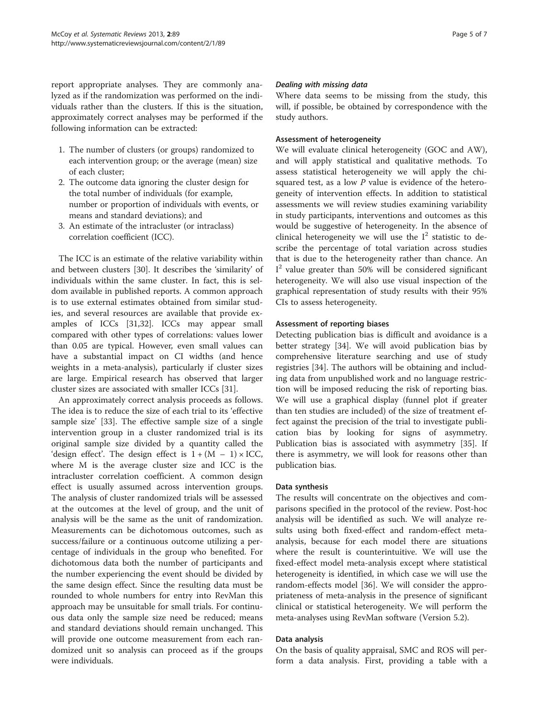report appropriate analyses. They are commonly analyzed as if the randomization was performed on the individuals rather than the clusters. If this is the situation, approximately correct analyses may be performed if the following information can be extracted:

- 1. The number of clusters (or groups) randomized to each intervention group; or the average (mean) size of each cluster;
- 2. The outcome data ignoring the cluster design for the total number of individuals (for example, number or proportion of individuals with events, or means and standard deviations); and
- 3. An estimate of the intracluster (or intraclass) correlation coefficient (ICC).

The ICC is an estimate of the relative variability within and between clusters [[30\]](#page-6-0). It describes the 'similarity' of individuals within the same cluster. In fact, this is seldom available in published reports. A common approach is to use external estimates obtained from similar studies, and several resources are available that provide examples of ICCs [[31,32](#page-6-0)]. ICCs may appear small compared with other types of correlations: values lower than 0.05 are typical. However, even small values can have a substantial impact on CI widths (and hence weights in a meta-analysis), particularly if cluster sizes are large. Empirical research has observed that larger cluster sizes are associated with smaller ICCs [\[31\]](#page-6-0).

An approximately correct analysis proceeds as follows. The idea is to reduce the size of each trial to its 'effective sample size' [\[33](#page-6-0)]. The effective sample size of a single intervention group in a cluster randomized trial is its original sample size divided by a quantity called the 'design effect'. The design effect is  $1 + (M - 1) \times ICC$ , where M is the average cluster size and ICC is the intracluster correlation coefficient. A common design effect is usually assumed across intervention groups. The analysis of cluster randomized trials will be assessed at the outcomes at the level of group, and the unit of analysis will be the same as the unit of randomization. Measurements can be dichotomous outcomes, such as success/failure or a continuous outcome utilizing a percentage of individuals in the group who benefited. For dichotomous data both the number of participants and the number experiencing the event should be divided by the same design effect. Since the resulting data must be rounded to whole numbers for entry into RevMan this approach may be unsuitable for small trials. For continuous data only the sample size need be reduced; means and standard deviations should remain unchanged. This will provide one outcome measurement from each randomized unit so analysis can proceed as if the groups were individuals.

#### Dealing with missing data

Where data seems to be missing from the study, this will, if possible, be obtained by correspondence with the study authors.

#### Assessment of heterogeneity

We will evaluate clinical heterogeneity (GOC and AW), and will apply statistical and qualitative methods. To assess statistical heterogeneity we will apply the chisquared test, as a low  $P$  value is evidence of the heterogeneity of intervention effects. In addition to statistical assessments we will review studies examining variability in study participants, interventions and outcomes as this would be suggestive of heterogeneity. In the absence of clinical heterogeneity we will use the  $I^2$  statistic to describe the percentage of total variation across studies that is due to the heterogeneity rather than chance. An I <sup>2</sup> value greater than 50% will be considered significant heterogeneity. We will also use visual inspection of the graphical representation of study results with their 95% CIs to assess heterogeneity.

#### Assessment of reporting biases

Detecting publication bias is difficult and avoidance is a better strategy [\[34\]](#page-6-0). We will avoid publication bias by comprehensive literature searching and use of study registries [[34\]](#page-6-0). The authors will be obtaining and including data from unpublished work and no language restriction will be imposed reducing the risk of reporting bias. We will use a graphical display (funnel plot if greater than ten studies are included) of the size of treatment effect against the precision of the trial to investigate publication bias by looking for signs of asymmetry. Publication bias is associated with asymmetry [[35\]](#page-6-0). If there is asymmetry, we will look for reasons other than publication bias.

#### Data synthesis

The results will concentrate on the objectives and comparisons specified in the protocol of the review. Post-hoc analysis will be identified as such. We will analyze results using both fixed-effect and random-effect metaanalysis, because for each model there are situations where the result is counterintuitive. We will use the fixed-effect model meta-analysis except where statistical heterogeneity is identified, in which case we will use the random-effects model [\[36\]](#page-6-0). We will consider the appropriateness of meta-analysis in the presence of significant clinical or statistical heterogeneity. We will perform the meta-analyses using RevMan software (Version 5.2).

#### Data analysis

On the basis of quality appraisal, SMC and ROS will perform a data analysis. First, providing a table with a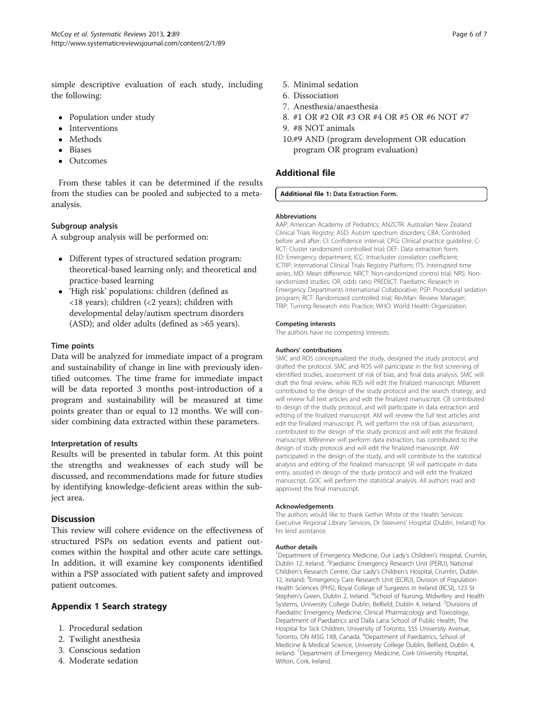<span id="page-5-0"></span>simple descriptive evaluation of each study, including the following:

- Population under study
- Interventions
- Methods
- Biases
- Outcomes

From these tables it can be determined if the results from the studies can be pooled and subjected to a metaanalysis.

## Subgroup analysis

A subgroup analysis will be performed on:

- Different types of structured sedation program: theoretical-based learning only; and theoretical and practice-based learning
- 'High risk' populations: children (defined as <18 years); children (<2 years); children with developmental delay/autism spectrum disorders (ASD); and older adults (defined as >65 years).

## Time points

Data will be analyzed for immediate impact of a program and sustainability of change in line with previously identified outcomes. The time frame for immediate impact will be data reported 3 months post-introduction of a program and sustainability will be measured at time points greater than or equal to 12 months. We will consider combining data extracted within these parameters.

## Interpretation of results

Results will be presented in tabular form. At this point the strengths and weaknesses of each study will be discussed, and recommendations made for future studies by identifying knowledge-deficient areas within the subject area.

## **Discussion**

This review will cohere evidence on the effectiveness of structured PSPs on sedation events and patient outcomes within the hospital and other acute care settings. In addition, it will examine key components identified within a PSP associated with patient safety and improved patient outcomes.

## Appendix 1 Search strategy

- 1. Procedural sedation
- 2. Twilight anesthesia
- 3. Conscious sedation
- 4. Moderate sedation
- 5. Minimal sedation
- 6. Dissociation
- 7. Anesthesia/anaesthesia
- 8. #1 OR #2 OR #3 OR #4 OR #5 OR #6 NOT #7
- 9. #8 NOT animals
- 10.#9 AND (program development OR education program OR program evaluation)

## Additional file

#### [Additional file 1:](http://www.biomedcentral.com/content/supplementary/2046-4053-2-89-S1.doc) Data Extraction Form.

#### Abbreviations

AAP: American Academy of Pediatrics; ANZCTR: Australian New Zealand Clinical Trials Registry; ASD: Autism spectrum disorders; CBA: Controlled before and after; CI: Confidence interval; CPG: Clinical practice guideline; C-RCT: Cluster randomized controlled trial; DEF: Data extraction form; ED: Emergency department; ICC: Intracluster correlation coefficient; ICTRP: International Clinical Trials Registry Platform; ITS: Interrupted time series; MD: Mean difference; NRCT: Non-randomized control trial; NRS: Nonrandomized studies: OR, odds ratio; PREDICT: Paediatric Research in Emergency Departments International Collaborative; PSP: Procedural sedation program; RCT: Randomized controlled trial; RevMan: Review Manager; TRIP: Turning Research into Practice; WHO: World Health Organization.

#### Competing interests

The authors have no competing interests.

#### Authors' contributions

SMC and ROS conceptualized the study, designed the study protocol, and drafted the protocol. SMC and ROS will participate in the first screening of identified studies, assessment of risk of bias, and final data analysis. SMC will draft the final review, while ROS will edit the finalized manuscript. MBarrett contributed to the design of the study protocol and the search strategy, and will review full text articles and edit the finalized manuscript. CB contributed to design of the study protocol, and will participate in data extraction and editing of the finalized manuscript. AM will review the full text articles and edit the finalized manuscript. PL will perform the risk of bias assessment, contributed to the design of the study protocol and will edit the finalized manuscript. MBrenner will perform data extraction, has contributed to the design of study protocol and will edit the finalized manuscript. AW participated in the design of the study, and will contribute to the statistical analysis and editing of the finalized manuscript. SR will participate in data entry, assisted in design of the study protocol and will edit the finalized manuscript. GOC will perform the statistical analysis. All authors read and approved the final manuscript.

#### Acknowledgements

The authors would like to thank Gethin White of the Health Services Executive Regional Library Services, Dr Steevens' Hospital (Dublin, Ireland) for his kind assistance.

#### Author details

<sup>1</sup>Department of Emergency Medicine, Our Lady's Children's Hospital, Crumlin Dublin 12, Ireland. <sup>2</sup>Paediatric Emergency Research Unit (PERU), National Children's Research Centre, Our Lady's Children's Hospital, Crumlin, Dublin 12, Ireland. <sup>3</sup> Emergency Care Research Unit (ECRU), Division of Population Health Sciences (PHS), Royal College of Surgeons in Ireland (RCSI), 123 St Stephen's Green, Dublin 2, Ireland. <sup>4</sup>School of Nursing, Midwifery and Health Systems, University College Dublin, Belfield, Dublin 4, Ireland. <sup>5</sup>Divisions of Paediatric Emergency Medicine, Clinical Pharmacology and Toxicology, Department of Paediatrics and Dalla Lana School of Public Health, The Hospital for Sick Children, University of Toronto, 555 University Avenue, Toronto, ON M5G 1X8, Canada. <sup>6</sup>Department of Paediatrics, School of Medicine & Medical Science, University College Dublin, Belfield, Dublin 4, Ireland. <sup>7</sup>Department of Emergency Medicine, Cork University Hospital Wilton, Cork, Ireland.